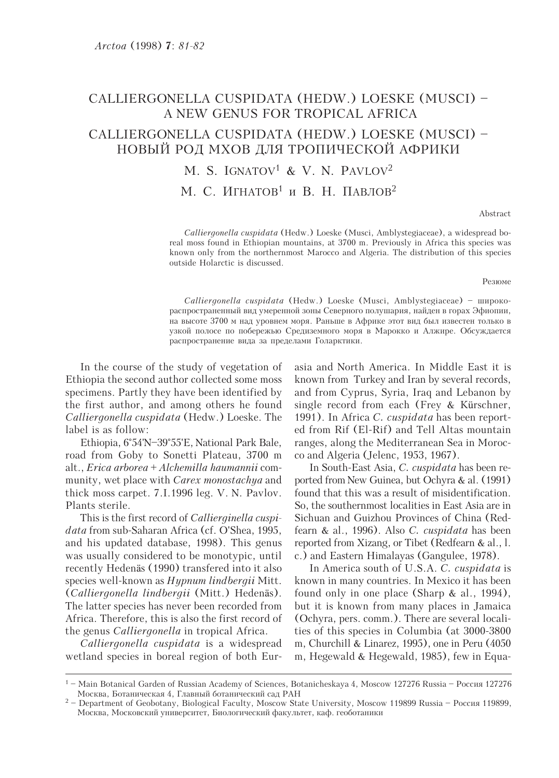## CALLIERGONELLA CUSPIDATA (HEDW.) LOESKE (MUSCI) -A NEW GENUS FOR TROPICAL AFRICA

## CALLIERGONELLA CUSPIDATA (HEDW.) LOESKE (MUSCI) – НОВЫЙ РОД МХОВ ДЛЯ ТРОПИЧЕСКОЙ АФРИКИ

M. S. IGNATOV<sup>1</sup> & V. N. PAVLOV<sup>2</sup> М. С. ИГНАТОВ<sup>1</sup> и В. Н. ПАВЛОВ<sup>2</sup>

Abstract

Calliergonella cuspidata (Hedw.) Loeske (Musci, Amblystegiaceae), a widespread boreal moss found in Ethiopian mountains, at 3700 m. Previously in Africa this species was known only from the northernmost Marocco and Algeria. The distribution of this species outside Holarctic is discussed

Резюме

Calliergonella cuspidata (Hedw.) Loeske (Musci, Amblystegiaceae) - широкораспространенный вид умеренной зоны Северного полушария, найден в горах Эфиопии, на высоте 3700 м над уровнем моря. Раньше в Африке этот вид был известен только в узкой полосе по побережью Средиземного моря в Марокко и Алжире. Обсуждается распространение вида за пределами Голарктики.

In the course of the study of vegetation of Ethiopia the second author collected some moss specimens. Partly they have been identified by the first author, and among others he found Calliergonella cuspidata (Hedw.) Loeske. The label is as follow:

Ethiopia, 6°54'N-39°55'E, National Park Bale, road from Goby to Sonetti Plateau, 3700 m alt., Erica arborea + Alchemilla haumannii community, wet place with Carex monostachya and thick moss carpet. 7.I.1996 leg. V. N. Pavlov. Plants sterile.

This is the first record of *Callierginella cuspi*data from sub-Saharan Africa (cf. O'Shea, 1995, and his updated database, 1998). This genus was usually considered to be monotypic, until recently Hedenäs (1990) transfered into it also species well-known as *Hypnum lindbergii* Mitt. (Calliergonella lindbergii (Mitt.) Hedenäs). The latter species has never been recorded from Africa. Therefore, this is also the first record of the genus *Calliergonella* in tropical Africa.

Calliergonella cuspidata is a widespread wetland species in boreal region of both Eurasia and North America. In Middle East it is known from Turkey and Iran by several records, and from Cyprus, Syria, Iraq and Lebanon by single record from each (Frey & Kürschner, 1991). In Africa C. *cuspidata* has been reported from Rif (El-Rif) and Tell Altas mountain ranges, along the Mediterranean Sea in Morocco and Algeria (Jelenc, 1953, 1967).

In South-East Asia, C. cuspidata has been reported from New Guinea, but Ochyra & al. (1991) found that this was a result of misidentification. So, the southernmost localities in East Asia are in Sichuan and Guizhou Provinces of China (Redfearn & al., 1996). Also C. cuspidata has been reported from Xizang, or Tibet (Redfearn & al., l. c.) and Eastern Himalayas (Gangulee, 1978).

In America south of U.S.A. C. cuspidata is known in many countries. In Mexico it has been found only in one place (Sharp  $\&$  al., 1994), but it is known from many places in Jamaica (Ochyra, pers. comm.). There are several localities of this species in Columbia (at 3000-3800 m, Churchill & Linarez, 1995), one in Peru (4050) m, Hegewald & Hegewald, 1985), few in Equa-

<sup>&</sup>lt;sup>1</sup> – Main Botanical Garden of Russian Academy of Sciences, Botanicheskaya 4, Moscow 127276 Russia – Россия 127276 Москва, Ботаническая 4, Главный ботанический сад РАН

 $2$  – Department of Geobotany, Biological Faculty, Moscow State University, Moscow 119899 Russia – Россия 119899, Москва, Московский университет, Биологический факультет, каф. геоботаники